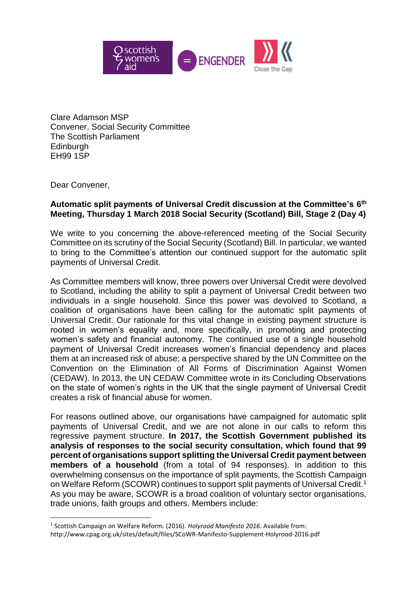

Clare Adamson MSP Convener, Social Security Committee The Scottish Parliament **Edinburgh** EH99 1SP

Dear Convener,

**.** 

## **Automatic split payments of Universal Credit discussion at the Committee's 6 th Meeting, Thursday 1 March 2018 Social Security (Scotland) Bill, Stage 2 (Day 4)**

We write to you concerning the above-referenced meeting of the Social Security Committee on its scrutiny of the Social Security (Scotland) Bill. In particular, we wanted to bring to the Committee's attention our continued support for the automatic split payments of Universal Credit.

As Committee members will know, three powers over Universal Credit were devolved to Scotland, including the ability to split a payment of Universal Credit between two individuals in a single household. Since this power was devolved to Scotland, a coalition of organisations have been calling for the automatic split payments of Universal Credit. Our rationale for this vital change in existing payment structure is rooted in women's equality and, more specifically, in promoting and protecting women's safety and financial autonomy. The continued use of a single household payment of Universal Credit increases women's financial dependency and places them at an increased risk of abuse; a perspective shared by the UN Committee on the Convention on the Elimination of All Forms of Discrimination Against Women (CEDAW). In 2013, the UN CEDAW Committee wrote in its Concluding Observations on the state of women's rights in the UK that the single payment of Universal Credit creates a risk of financial abuse for women.

For reasons outlined above, our organisations have campaigned for automatic split payments of Universal Credit, and we are not alone in our calls to reform this regressive payment structure. **In 2017, the Scottish Government published its analysis of responses to the social security consultation, which found that 99 percent of organisations support splitting the Universal Credit payment between members of a household** (from a total of 94 responses). In addition to this overwhelming consensus on the importance of split payments, the Scottish Campaign on Welfare Reform (SCOWR) continues to support split payments of Universal Credit.<sup>1</sup> As you may be aware, SCOWR is a broad coalition of voluntary sector organisations, trade unions, faith groups and others. Members include:

<sup>1</sup> Scottish Campaign on Welfare Reform. (2016). *Holyrood Manifesto 2016*. Available from: http://www.cpag.org.uk/sites/default/files/SCoWR-Manifesto-Supplement-Holyrood-2016.pdf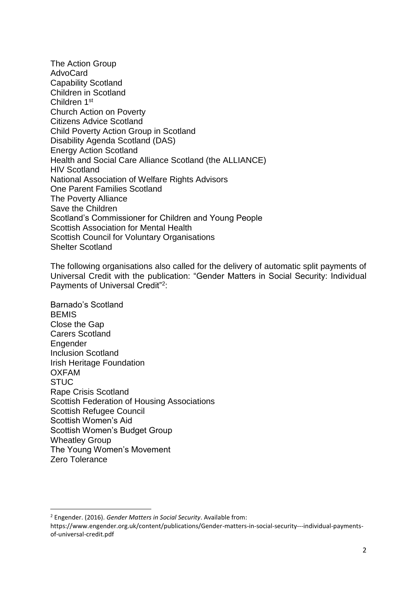The Action Group AdvoCard Capability Scotland Children in Scotland Children 1st Church Action on Poverty Citizens Advice Scotland Child Poverty Action Group in Scotland Disability Agenda Scotland (DAS) Energy Action Scotland Health and Social Care Alliance Scotland (the ALLIANCE) HIV Scotland National Association of Welfare Rights Advisors One Parent Families Scotland The Poverty Alliance Save the Children Scotland's Commissioner for Children and Young People Scottish Association for Mental Health Scottish Council for Voluntary Organisations Shelter Scotland

The following organisations also called for the delivery of automatic split payments of Universal Credit with the publication: "Gender Matters in Social Security: Individual Payments of Universal Credit"<sup>2</sup> :

Barnado's Scotland **BEMIS** Close the Gap Carers Scotland **Engender** Inclusion Scotland Irish Heritage Foundation OXFAM **STUC** Rape Crisis Scotland Scottish Federation of Housing Associations Scottish Refugee Council Scottish Women's Aid Scottish Women's Budget Group Wheatley Group The Young Women's Movement Zero Tolerance

**.** 

<sup>2</sup> Engender. (2016). *Gender Matters in Social Security*. Available from:

https://www.engender.org.uk/content/publications/Gender-matters-in-social-security---individual-paymentsof-universal-credit.pdf